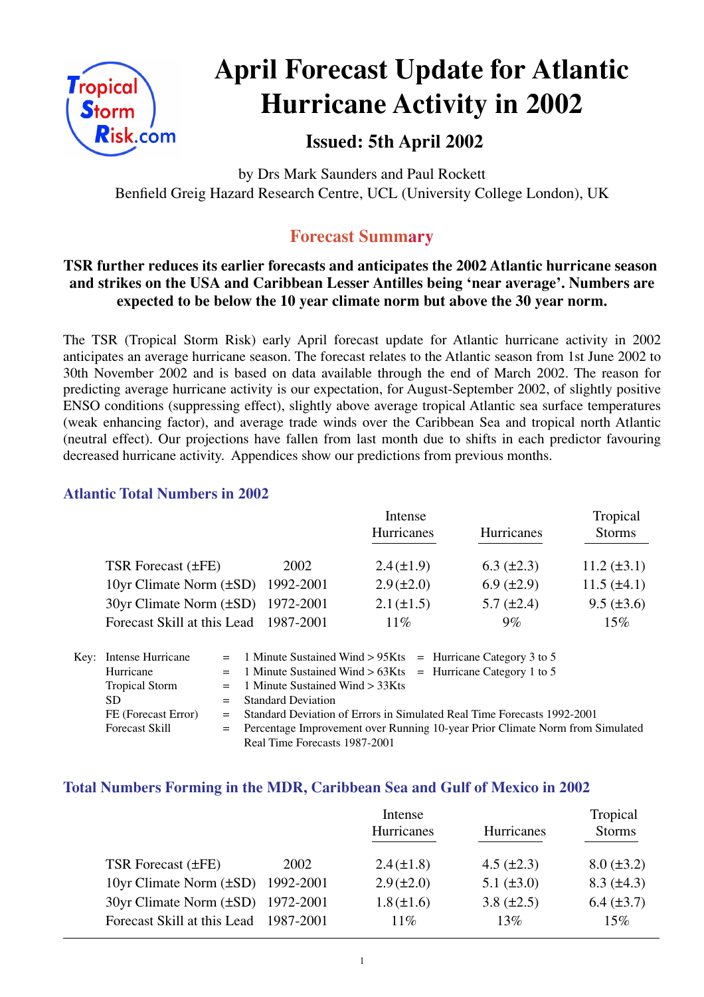

# **April Forecast Update for Atlantic Hurricane Activity in 2002**

## **Issued: 5th April 2002**

by Drs Mark Saunders and Paul Rockett Benfield Greig Hazard Research Centre, UCL (University College London), UK

## **Forecast Summary**

#### **TSR further reduces its earlier forecasts and anticipates the 2002 Atlantic hurricane season and strikes on the USA and Caribbean Lesser Antilles being 'near average'. Numbers are expected to be below the 10 year climate norm but above the 30 year norm.**

The TSR (Tropical Storm Risk) early April forecast update for Atlantic hurricane activity in 2002 anticipates an average hurricane season. The forecast relates to the Atlantic season from 1st June 2002 to 30th November 2002 and is based on data available through the end of March 2002. The reason for predicting average hurricane activity is our expectation, for August-September 2002, of slightly positive ENSO conditions (suppressing effect), slightly above average tropical Atlantic sea surface temperatures (weak enhancing factor), and average trade winds over the Caribbean Sea and tropical north Atlantic (neutral effect). Our projections have fallen from last month due to shifts in each predictor favouring decreased hurricane activity. Appendices show our predictions from previous months.

#### **Atlantic Total Numbers in 2002**

|                                        |           | Intense           |                   | Tropical         |  |
|----------------------------------------|-----------|-------------------|-------------------|------------------|--|
|                                        |           | <b>Hurricanes</b> | Hurricanes        | <b>Storms</b>    |  |
| TSR Forecast (±FE)                     | 2002      | $2.4(\pm 1.9)$    | $6.3 \ (\pm 2.3)$ | $11.2 (\pm 3.1)$ |  |
| 10yr Climate Norm $(\pm SD)$ 1992-2001 |           | $2.9 (\pm 2.0)$   | $6.9 \ (\pm 2.9)$ | $11.5 (\pm 4.1)$ |  |
| 30yr Climate Norm (±SD) 1972-2001      |           | $2.1 (\pm 1.5)$   | $5.7 \ (\pm 2.4)$ | $9.5 (\pm 3.6)$  |  |
| Forecast Skill at this Lead            | 1987-2001 | $11\%$            | $9\%$             | 15%              |  |

| Key: Intense Hurricane | $=$ 1 Minute Sustained Wind > 95Kts $=$ Hurricane Category 3 to 5               |
|------------------------|---------------------------------------------------------------------------------|
| Hurricane              | $=$ 1 Minute Sustained Wind > 63Kts = Hurricane Category 1 to 5                 |
| <b>Tropical Storm</b>  | $=$ 1 Minute Sustained Wind $>$ 33Kts                                           |
| SD.                    | $=$ Standard Deviation                                                          |
| FE (Forecast Error)    | = Standard Deviation of Errors in Simulated Real Time Forecasts 1992-2001       |
| <b>Forecast Skill</b>  | = Percentage Improvement over Running 10-year Prior Climate Norm from Simulated |
|                        | Real Time Forecasts 1987-2001                                                   |

#### **Total Numbers Forming in the MDR, Caribbean Sea and Gulf of Mexico in 2002**

|                                        |      | Intense         |                   | Tropical          |  |
|----------------------------------------|------|-----------------|-------------------|-------------------|--|
|                                        |      | Hurricanes      | Hurricanes        | <b>Storms</b>     |  |
|                                        |      |                 |                   |                   |  |
| TSR Forecast $(\pm FE)$                | 2002 | $2.4(\pm 1.8)$  | $4.5 \ (\pm 2.3)$ | $8.0 (\pm 3.2)$   |  |
| 10yr Climate Norm $(\pm SD)$ 1992-2001 |      | $2.9 (\pm 2.0)$ | $5.1 (\pm 3.0)$   | $8.3 \ (\pm 4.3)$ |  |
| 30yr Climate Norm (±SD) 1972-2001      |      | $1.8 (\pm 1.6)$ | $3.8 (\pm 2.5)$   | $6.4 (\pm 3.7)$   |  |
| Forecast Skill at this Lead 1987-2001  |      | 11%             | 13%               | 15%               |  |
|                                        |      |                 |                   |                   |  |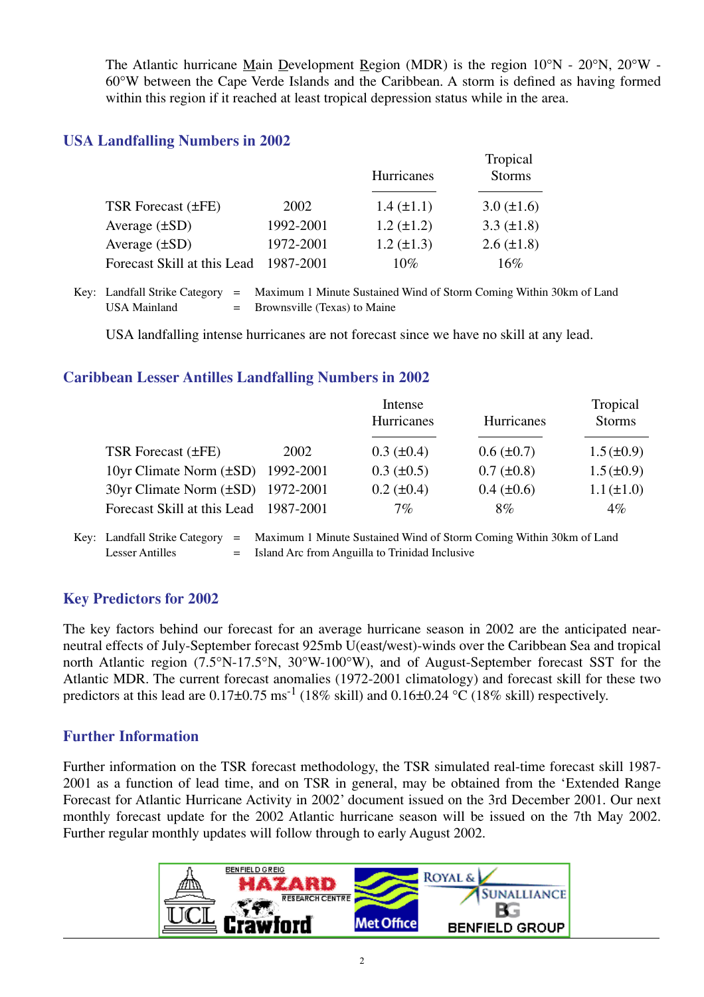The Atlantic hurricane Main Development Region (MDR) is the region 10°N - 20°N, 20°W - 60°W between the Cape Verde Islands and the Caribbean. A storm is defined as having formed within this region if it reached at least tropical depression status while in the area.

#### **USA Landfalling Numbers in 2002**

|                             |           | <b>Hurricanes</b> | Tropical<br><b>Storms</b> |
|-----------------------------|-----------|-------------------|---------------------------|
| TSR Forecast (±FE)          | 2002      | $1.4 (\pm 1.1)$   | $3.0 (\pm 1.6)$           |
| Average $(\pm SD)$          | 1992-2001 | $1.2 (\pm 1.2)$   | 3.3 $(\pm 1.8)$           |
| Average $(\pm SD)$          | 1972-2001 | $1.2 (\pm 1.3)$   | $2.6 (\pm 1.8)$           |
| Forecast Skill at this Lead | 1987-2001 | $10\%$            | 16%                       |

Key: Landfall Strike Category = Maximum 1 Minute Sustained Wind of Storm Coming Within 30km of Land USA Mainland  $=$  Brownsville (Texas) to Maine

USA landfalling intense hurricanes are not forecast since we have no skill at any lead.

#### **Caribbean Lesser Antilles Landfalling Numbers in 2002**

|                                        | Intense |                   | Tropical          |                 |
|----------------------------------------|---------|-------------------|-------------------|-----------------|
|                                        |         | Hurricanes        | <b>Hurricanes</b> | <b>Storms</b>   |
|                                        |         |                   |                   |                 |
| TSR Forecast (±FE)                     | 2002    | $0.3 \ (\pm 0.4)$ | $0.6 (\pm 0.7)$   | $1.5(\pm 0.9)$  |
| 10yr Climate Norm $(\pm SD)$ 1992-2001 |         | $0.3 \ (\pm 0.5)$ | $0.7 (\pm 0.8)$   | $1.5(\pm 0.9)$  |
| 30yr Climate Norm (±SD) 1972-2001      |         | $0.2 (\pm 0.4)$   | $0.4 \ (\pm 0.6)$ | $1.1 (\pm 1.0)$ |
| Forecast Skill at this Lead 1987-2001  |         | $7\%$             | $8\%$             | $4\%$           |
|                                        |         |                   |                   |                 |

Key: Landfall Strike Category = Maximum 1 Minute Sustained Wind of Storm Coming Within 30km of Land Lesser Antilles  $=$  Island Arc from Anguilla to Trinidad Inclusive

#### **Key Predictors for 2002**

The key factors behind our forecast for an average hurricane season in 2002 are the anticipated nearneutral effects of July-September forecast 925mb U(east/west)-winds over the Caribbean Sea and tropical north Atlantic region (7.5°N-17.5°N, 30°W-100°W), and of August-September forecast SST for the Atlantic MDR. The current forecast anomalies (1972-2001 climatology) and forecast skill for these two predictors at this lead are  $0.17\pm0.75$  ms<sup>-1</sup> (18% skill) and  $0.16\pm0.24$  °C (18% skill) respectively.

#### **Further Information**

Further information on the TSR forecast methodology, the TSR simulated real-time forecast skill 1987- 2001 as a function of lead time, and on TSR in general, may be obtained from the 'Extended Range Forecast for Atlantic Hurricane Activity in 2002' document issued on the 3rd December 2001. Our next monthly forecast update for the 2002 Atlantic hurricane season will be issued on the 7th May 2002. Further regular monthly updates will follow through to early August 2002.

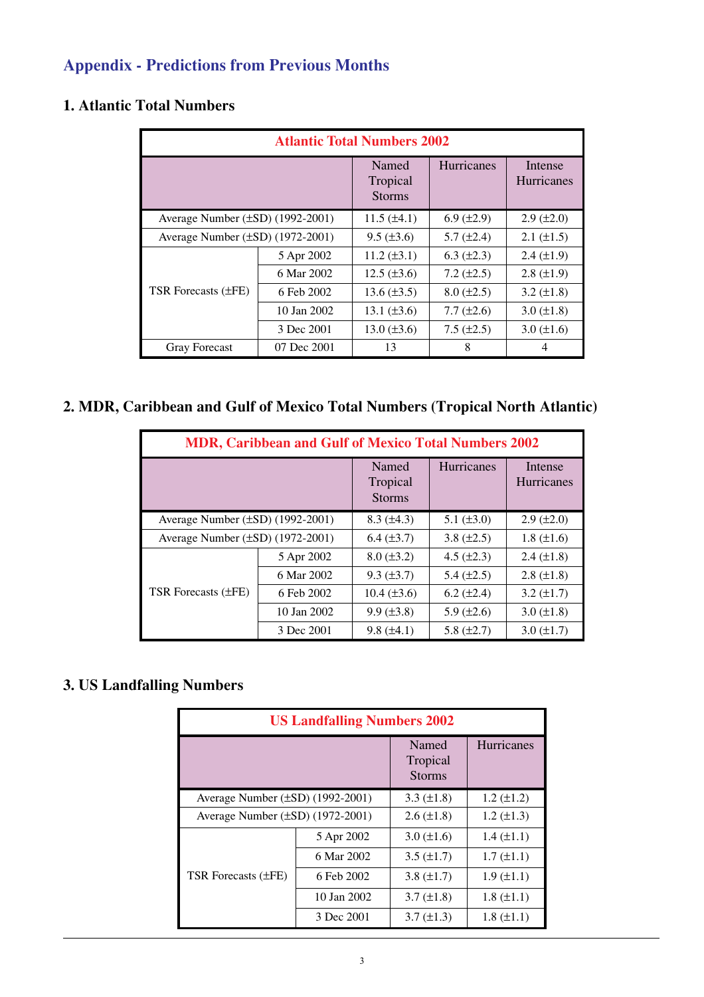# **Appendix - Predictions from Previous Months**

| <b>Atlantic Total Numbers 2002</b>    |             |                                    |                   |                              |  |  |
|---------------------------------------|-------------|------------------------------------|-------------------|------------------------------|--|--|
|                                       |             | Named<br>Tropical<br><b>Storms</b> | <b>Hurricanes</b> | Intense<br><b>Hurricanes</b> |  |  |
| Average Number $(\pm SD)$ (1992-2001) |             | $11.5 (\pm 4.1)$                   | $6.9 \ (\pm 2.9)$ | $2.9 \ (\pm 2.0)$            |  |  |
| Average Number $(\pm SD)$ (1972-2001) |             | $9.5 (\pm 3.6)$                    | $5.7 (\pm 2.4)$   | $2.1 (\pm 1.5)$              |  |  |
| TSR Forecasts (±FE)                   | 5 Apr 2002  | $11.2 (\pm 3.1)$                   | $6.3 \ (\pm 2.3)$ | $2.4 \ (\pm 1.9)$            |  |  |
|                                       | 6 Mar 2002  | $12.5 (\pm 3.6)$                   | $7.2 (\pm 2.5)$   | $2.8 (\pm 1.9)$              |  |  |
|                                       | 6 Feb 2002  | 13.6 $(\pm 3.5)$                   | $8.0 (\pm 2.5)$   | $3.2 \ (\pm 1.8)$            |  |  |
|                                       | 10 Jan 2002 | 13.1 $(\pm 3.6)$                   | $7.7 (\pm 2.6)$   | $3.0 (\pm 1.8)$              |  |  |
|                                       | 3 Dec 2001  | $13.0 (\pm 3.6)$                   | $7.5 (\pm 2.5)$   | $3.0 (\pm 1.6)$              |  |  |
| <b>Gray Forecast</b>                  | 07 Dec 2001 | 13                                 | 8                 | 4                            |  |  |

### **1. Atlantic Total Numbers**

## **2. MDR, Caribbean and Gulf of Mexico Total Numbers (Tropical North Atlantic)**

| <b>MDR, Caribbean and Gulf of Mexico Total Numbers 2002</b> |             |                                    |                   |                              |  |  |
|-------------------------------------------------------------|-------------|------------------------------------|-------------------|------------------------------|--|--|
|                                                             |             | Named<br>Tropical<br><b>Storms</b> | <b>Hurricanes</b> | Intense<br><b>Hurricanes</b> |  |  |
| Average Number (±SD) (1992-2001)                            |             | $8.3 \ (\pm 4.3)$                  | 5.1 $(\pm 3.0)$   | $2.9 \ (\pm 2.0)$            |  |  |
| Average Number $(\pm SD)$ (1972-2001)                       |             | $6.4 (\pm 3.7)$                    | 3.8 $(\pm 2.5)$   | $1.8 (\pm 1.6)$              |  |  |
|                                                             | 5 Apr 2002  | $8.0 (\pm 3.2)$                    | 4.5 $(\pm 2.3)$   | $2.4 (\pm 1.8)$              |  |  |
| TSR Forecasts $(\pm FE)$                                    | 6 Mar 2002  | $9.3 \ (\pm 3.7)$                  | 5.4 $(\pm 2.5)$   | $2.8 \ (\pm 1.8)$            |  |  |
|                                                             | 6 Feb 2002  | $10.4 (\pm 3.6)$                   | $6.2 (\pm 2.4)$   | $3.2 (\pm 1.7)$              |  |  |
|                                                             | 10 Jan 2002 | $9.9 (\pm 3.8)$                    | 5.9 $(\pm 2.6)$   | $3.0 (\pm 1.8)$              |  |  |
|                                                             | 3 Dec 2001  | $9.8 (\pm 4.1)$                    | 5.8 $(\pm 2.7)$   | $3.0 (\pm 1.7)$              |  |  |

# **3. US Landfalling Numbers**

| <b>US Landfalling Numbers 2002</b>    |                                    |                   |                   |  |  |  |
|---------------------------------------|------------------------------------|-------------------|-------------------|--|--|--|
|                                       | Named<br>Tropical<br><b>Storms</b> | Hurricanes        |                   |  |  |  |
| Average Number (±SD) (1992-2001)      |                                    | 3.3 $(\pm 1.8)$   | $1.2 \ (\pm 1.2)$ |  |  |  |
| Average Number $(\pm SD)$ (1972-2001) |                                    | $2.6 \ (\pm 1.8)$ | $1.2 \ (\pm 1.3)$ |  |  |  |
| TSR Forecasts (±FE)                   | 5 Apr 2002                         | $3.0 (\pm 1.6)$   | $1.4 \ (\pm 1.1)$ |  |  |  |
|                                       | 6 Mar 2002                         | $3.5 \ (\pm 1.7)$ | $1.7 (\pm 1.1)$   |  |  |  |
|                                       | 6 Feb 2002                         | 3.8 $(\pm 1.7)$   | $1.9 \ (\pm 1.1)$ |  |  |  |
|                                       | 10 Jan 2002                        | $3.7 (\pm 1.8)$   | $1.8 (\pm 1.1)$   |  |  |  |
|                                       | 3 Dec 2001                         | $3.7 (\pm 1.3)$   | $1.8 (\pm 1.1)$   |  |  |  |